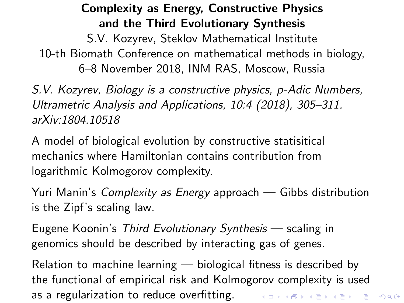## Complexity as Energy, Constructive Physics and the Third Evolutionary Synthesis

<span id="page-0-0"></span>S.V. Kozyrev, Steklov Mathematical Institute 10-th Biomath Conference on mathematical methods in biology, 6–8 November 2018, INM RAS, Moscow, Russia

S.V. Kozyrev, Biology is a constructive physics, p-Adic Numbers, Ultrametric Analysis and Applications, 10:4 (2018), 305–311. arXiv:1804.10518

A model of biological evolution by constructive statisitical mechanics where Hamiltonian contains contribution from logarithmic Kolmogorov complexity.

Yuri Manin's Complexity as Energy approach — Gibbs distribution is the Zipf's scaling law.

Eugene Koonin's Third Evolutionary Synthesis — scaling in genomics should be described by interacting gas of genes.

Relation to machine learning — biological fitness is described by the functional of empirical risk and Kolmogorov complexity is used as a regularization to reduce overfitting. The management of the second second state of the second state of the second state of the second state of the second state of the second state of the second state of the second sta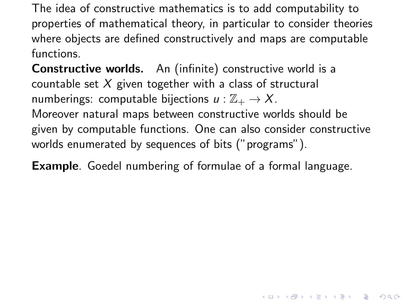The idea of constructive mathematics is to add computability to properties of mathematical theory, in particular to consider theories where objects are defined constructively and maps are computable functions.

Constructive worlds. An (infinite) constructive world is a countable set  $X$  given together with a class of structural numberings: computable bijections  $u : \mathbb{Z}_+ \to X$ . Moreover natural maps between constructive worlds should be given by computable functions. One can also consider constructive worlds enumerated by sequences of bits ("programs").

Example. Goedel numbering of formulae of a formal language.

KID KA KERKER E 1990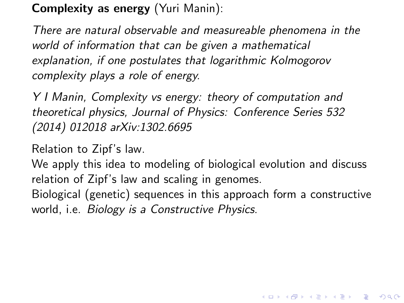#### Complexity as energy (Yuri Manin):

There are natural observable and measureable phenomena in the world of information that can be given a mathematical explanation, if one postulates that logarithmic Kolmogorov complexity plays a role of energy.

Y I Manin, Complexity vs energy: theory of computation and theoretical physics, Journal of Physics: Conference Series 532 (2014) 012018 arXiv:1302.6695

Relation to Zipf's law.

We apply this idea to modeling of biological evolution and discuss relation of Zipf's law and scaling in genomes.

Biological (genetic) sequences in this approach form a constructive world, i.e. Biology is a Constructive Physics.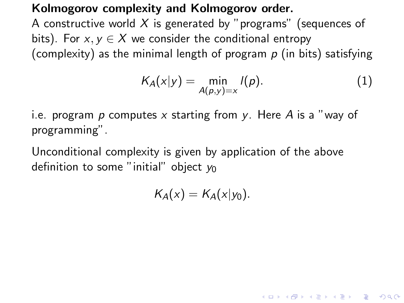#### Kolmogorov complexity and Kolmogorov order.

A constructive world  $X$  is generated by "programs" (sequences of bits). For  $x, y \in X$  we consider the conditional entropy (complexity) as the minimal length of program  $p$  (in bits) satisfying

$$
K_A(x|y) = \min_{A(p,y)=x} l(p).
$$
 (1)

i.e. program p computes x starting from y. Here A is a "way of programming".

Unconditional complexity is given by application of the above definition to some "initial" object  $y_0$ 

$$
K_A(x) = K_A(x|y_0).
$$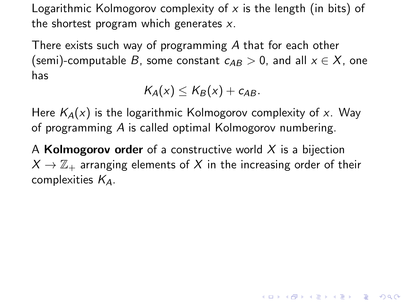Logarithmic Kolmogorov complexity of  $x$  is the length (in bits) of the shortest program which generates  $x$ .

There exists such way of programming A that for each other (semi)-computable B, some constant  $c_{AB} > 0$ , and all  $x \in X$ , one has

$$
K_A(x) \leq K_B(x) + c_{AB}.
$$

Here  $K_A(x)$  is the logarithmic Kolmogorov complexity of x. Way of programming A is called optimal Kolmogorov numbering.

A **Kolmogorov order** of a constructive world  $X$  is a bijection  $X \to \mathbb{Z}_+$  arranging elements of X in the increasing order of their complexities  $K_A$ .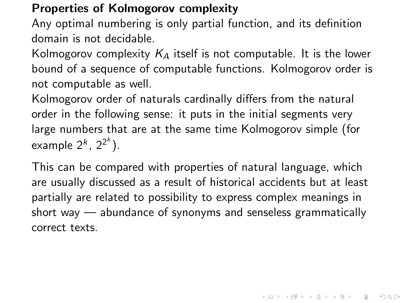#### Properties of Kolmogorov complexity

Any optimal numbering is only partial function, and its definition domain is not decidable.

Kolmogorov complexity  $K_A$  itself is not computable. It is the lower bound of a sequence of computable functions. Kolmogorov order is not computable as well.

Kolmogorov order of naturals cardinally differs from the natural order in the following sense: it puts in the initial segments very large numbers that are at the same time Kolmogorov simple (for example  $2^k$ ,  $2^{2^k}$ ).

This can be compared with properties of natural language, which are usually discussed as a result of historical accidents but at least partially are related to possibility to express complex meanings in short way — abundance of synonyms and senseless grammatically correct texts.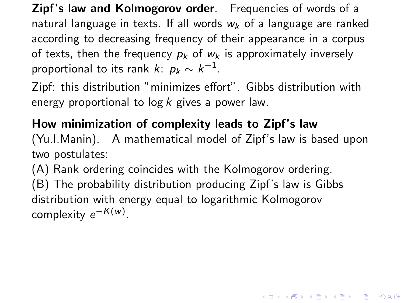Zipf's law and Kolmogorov order. Frequencies of words of a natural language in texts. If all words  $w_k$  of a language are ranked according to decreasing frequency of their appearance in a corpus of texts, then the frequency  $p_k$  of  $w_k$  is approximately inversely proportional to its rank  $k\colon\, p_k \sim k^{-1}.$ 

Zipf: this distribution "minimizes effort". Gibbs distribution with energy proportional to  $log k$  gives a power law.

# How minimization of complexity leads to Zipf's law

(Yu.I.Manin). A mathematical model of Zipf's law is based upon two postulates:

(A) Rank ordering coincides with the Kolmogorov ordering. (B) The probability distribution producing Zipf's law is Gibbs distribution with energy equal to logarithmic Kolmogorov  $\mathsf{complexity}\; e^{-\mathcal{K}(w)}.$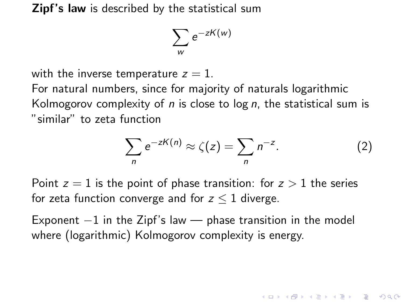**Zipf's law** is described by the statistical sum

$$
\sum_{w} e^{-zK(w)}
$$

with the inverse temperature  $z = 1$ .

For natural numbers, since for majority of naturals logarithmic Kolmogorov complexity of  $n$  is close to log  $n$ , the statistical sum is "similar" to zeta function

$$
\sum_{n} e^{-zK(n)} \approx \zeta(z) = \sum_{n} n^{-z}.
$$
 (2)

Point  $z = 1$  is the point of phase transition: for  $z > 1$  the series for zeta function converge and for  $z \leq 1$  diverge.

Exponent  $-1$  in the Zipf's law — phase transition in the model where (logarithmic) Kolmogorov complexity is energy.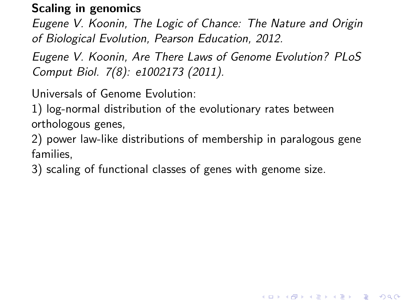### Scaling in genomics

Eugene V. Koonin, The Logic of Chance: The Nature and Origin of Biological Evolution, Pearson Education, 2012.

Eugene V. Koonin, Are There Laws of Genome Evolution? PLoS Comput Biol. 7(8): e1002173 (2011).

Universals of Genome Evolution:

1) log-normal distribution of the evolutionary rates between orthologous genes,

2) power law-like distributions of membership in paralogous gene families,

3) scaling of functional classes of genes with genome size.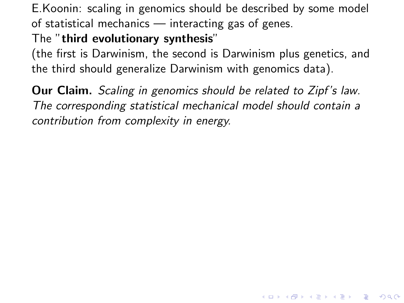E.Koonin: scaling in genomics should be described by some model of statistical mechanics — interacting gas of genes.

#### The "third evolutionary synthesis"

(the first is Darwinism, the second is Darwinism plus genetics, and the third should generalize Darwinism with genomics data).

Our Claim. Scaling in genomics should be related to Zipf's law. The corresponding statistical mechanical model should contain a contribution from complexity in energy.

KO K K Ø K K E K K E K V K K K K K K K K K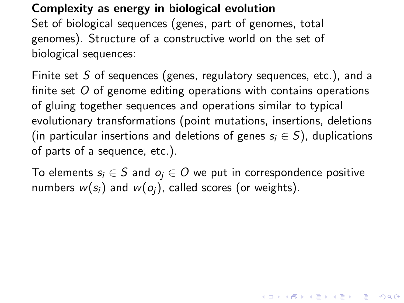### Complexity as energy in biological evolution

Set of biological sequences (genes, part of genomes, total genomes). Structure of a constructive world on the set of biological sequences:

Finite set S of sequences (genes, regulatory sequences, etc.), and a finite set  $O$  of genome editing operations with contains operations of gluing together sequences and operations similar to typical evolutionary transformations (point mutations, insertions, deletions (in particular insertions and deletions of genes  $s_i \in S$ ), duplications of parts of a sequence, etc.).

To elements  $s_i \in S$  and  $o_i \in O$  we put in correspondence positive numbers  $w(s_i)$  and  $w(o_i)$ , called scores (or weights).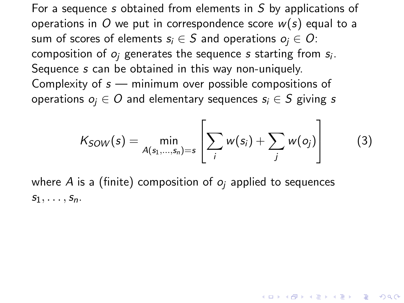For a sequence s obtained from elements in S by applications of operations in O we put in correspondence score  $w(s)$  equal to a sum of scores of elements  $s_i \in S$  and operations  $o_i \in O$ : composition of  $o_j$  generates the sequence  $s$  starting from  $s_i.$ Sequence s can be obtained in this way non-uniquely. Complexity of  $s$  — minimum over possible compositions of operations  $o_i \in O$  and elementary sequences  $s_i \in S$  giving s

$$
K_{SOW}(s) = \min_{A(s_1,\ldots,s_n)=s} \left[ \sum_i w(s_i) + \sum_j w(o_j) \right]
$$
 (3)

where A is a (finite) composition of  $o_i$  applied to sequences  $S_1, \ldots, S_n$ .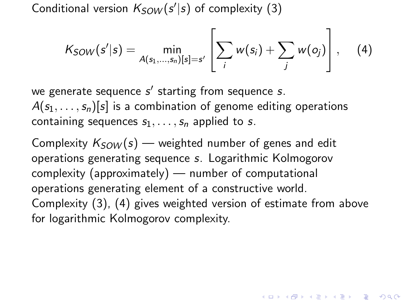Conditional version  $K_{SOW}(s'|s)$  of complexity [\(3\)](#page-0-0)

$$
K_{SOW}(s'|s) = \min_{A(s_1,...,s_n)[s] = s'} \left[ \sum_{i} w(s_i) + \sum_{j} w(o_j) \right], \quad (4)
$$

we generate sequence  $s'$  starting from sequence  $s.$  $A(s_1, \ldots, s_n)[s]$  is a combination of genome editing operations containing sequences  $s_1, \ldots, s_n$  applied to s.

Complexity  $K_{\mathcal{S}OW}(s)$  — weighted number of genes and edit operations generating sequence s. Logarithmic Kolmogorov complexity (approximately) — number of computational operations generating element of a constructive world. Complexity [\(3\)](#page-0-0), [\(4\)](#page-0-0) gives weighted version of estimate from above for logarithmic Kolmogorov complexity.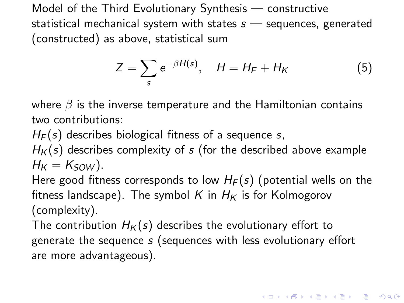Model of the Third Evolutionary Synthesis — constructive statistical mechanical system with states  $s$  — sequences, generated (constructed) as above, statistical sum

$$
Z = \sum_{s} e^{-\beta H(s)}, \quad H = H_F + H_K \tag{5}
$$

where  $\beta$  is the inverse temperature and the Hamiltonian contains two contributions:

 $H_F(s)$  describes biological fitness of a sequence s,

 $H<sub>K</sub>(s)$  describes complexity of s (for the described above example  $H_K = K_{SOM}$ ).

Here good fitness corresponds to low  $H_F(s)$  (potential wells on the fitness landscape). The symbol K in  $H_K$  is for Kolmogorov (complexity).

The contribution  $H_K(s)$  describes the evolutionary effort to generate the sequence s (sequences with less evolutionary effort are more advantageous).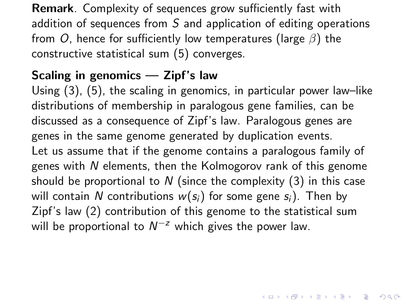Remark. Complexity of sequences grow sufficiently fast with addition of sequences from  $S$  and application of editing operations from O, hence for sufficiently low temperatures (large  $\beta$ ) the constructive statistical sum [\(5\)](#page-0-0) converges.

### Scaling in genomics — Zipf's law

Using [\(3\)](#page-0-0), [\(5\)](#page-0-0), the scaling in genomics, in particular power law–like distributions of membership in paralogous gene families, can be discussed as a consequence of Zipf's law. Paralogous genes are genes in the same genome generated by duplication events. Let us assume that if the genome contains a paralogous family of genes with N elements, then the Kolmogorov rank of this genome should be proportional to N (since the complexity  $(3)$  in this case will contain N contributions  $w(s_i)$  for some gene  $s_i$ ). Then by Zipf's law [\(2\)](#page-0-0) contribution of this genome to the statistical sum will be proportional to  $N^{-z}$  which gives the power law.

KID KA KERKER E 1990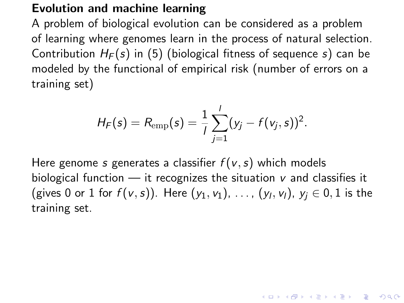#### Evolution and machine learning

A problem of biological evolution can be considered as a problem of learning where genomes learn in the process of natural selection. Contribution  $H_F(s)$  in [\(5\)](#page-0-0) (biological fitness of sequence s) can be modeled by the functional of empirical risk (number of errors on a training set)

$$
H_F(s) = R_{\text{emp}}(s) = \frac{1}{l} \sum_{j=1}^{l} (y_j - f(v_j, s))^2.
$$

Here genome s generates a classifier  $f(v, s)$  which models biological function  $-$  it recognizes the situation  $\nu$  and classifies it (gives 0 or 1 for  $f(v,s)$ ). Here  $(y_1, v_1)$ , ...,  $(y_l, v_l)$ ,  $y_j \in 0,1$  is the training set.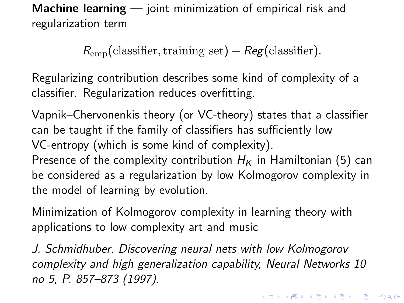Machine learning — joint minimization of empirical risk and regularization term

 $R_{\rm{emp}}$ (classifier, training set) + Reg(classifier).

Regularizing contribution describes some kind of complexity of a classifier. Regularization reduces overfitting.

Vapnik–Chervonenkis theory (or VC-theory) states that a classifier can be taught if the family of classifiers has sufficiently low VC-entropy (which is some kind of complexity). Presence of the complexity contribution  $H_K$  in Hamiltonian [\(5\)](#page-0-0) can be considered as a regularization by low Kolmogorov complexity in the model of learning by evolution.

Minimization of Kolmogorov complexity in learning theory with applications to low complexity art and music

J. Schmidhuber, Discovering neural nets with low Kolmogorov complexity and high generalization capability, Neural Networks 10 no 5, P. 857–873 (1997).